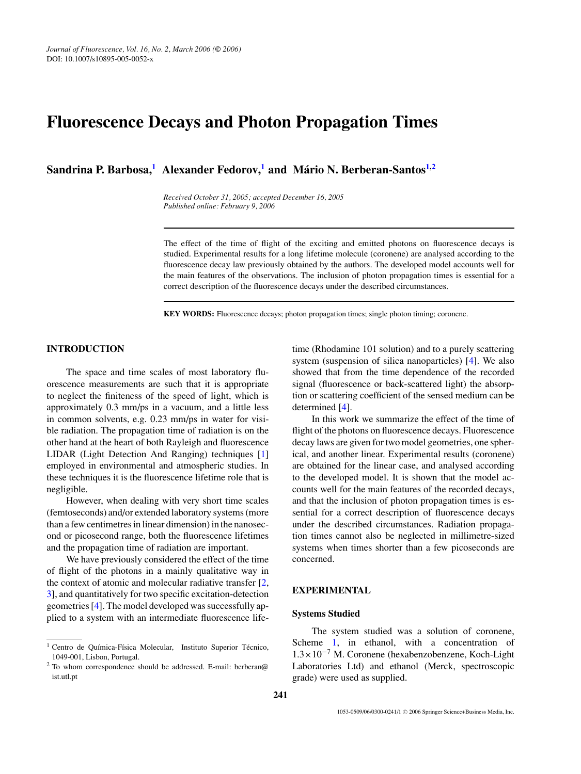# **Fluorescence Decays and Photon Propagation Times**

**Sandrina P. Barbosa,**<sup>[1](#page-0-0)</sup> **Alexander Fedorov,**<sup>1</sup> **and Mário N. Berberan-Santos**<sup>1[,2](#page-0-1)</sup>

*Received October 31, 2005; accepted December 16, 2005 Published online: February 9, 2006*

The effect of the time of flight of the exciting and emitted photons on fluorescence decays is studied. Experimental results for a long lifetime molecule (coronene) are analysed according to the fluorescence decay law previously obtained by the authors. The developed model accounts well for the main features of the observations. The inclusion of photon propagation times is essential for a correct description of the fluorescence decays under the described circumstances.

**KEY WORDS:** Fluorescence decays; photon propagation times; single photon timing; coronene.

# **[I](#page-0-0)NTRODUCTION**

The space and time scales of most laboratory fluorescence measurements are such that it is appropriate to neglect the finiteness of the speed of light, which is approximately 0.3 mm/ps in a vacuum, and a little less in common solvents, e.g. 0.23 mm/ps in water for visible radiation. The propagation time of radiation is on the other hand at the heart of both Rayleigh and fluorescence LIDAR (Light Detection And Ranging) techniques [\[1\]](#page-3-0) employed in environmental and atmospheric studies. In these techniques it is the fluorescence lifetime role that is negligible.

However, when dealing with very short time scales (femtoseconds) and/or extended laboratory systems (more than a few centimetres in linear dimension) in the nanosecond or picosecond range, both the fluorescence lifetimes and the propagation time of radiation are important.

We have previously considered the effect of the time of flight of the photons in a mainly qualitative way in the context of atomic and molecular radiative transfer [\[2,](#page-3-1) [3\]](#page-3-2), and quantitatively for two specific excitation-detection geometries [\[4\]](#page-3-3). The model developed was successfully applied to a system with an intermediate fluorescence lifetime (Rhodamine 101 solution) and to a purely scattering system (suspension of silica nanoparticles) [\[4\]](#page-3-3). We also showed that from the time dependence of the recorded signal (fluorescence or back-scattered light) the absorption or scattering coefficient of the sensed medium can be determined [\[4\]](#page-3-3).

In this work we summarize the effect of the time of flight of the photons on fluorescence decays. Fluorescence decay laws are given for two model geometries, one spherical, and another linear. Experimental results (coronene) are obtained for the linear case, and analysed according to the developed model. It is shown that the model accounts well for the main features of the recorded decays, and that the inclusion of photon propagation times is essential for a correct description of fluorescence decays under the described circumstances. Radiation propagation times cannot also be neglected in millimetre-sized systems when times shorter than a few picoseconds are concerned.

## **EXPERIMENTAL**

## **Systems Studied**

The system studied was a solution of coronene, Scheme [1,](#page-1-0) in ethanol, with a concentration of 1.3×10<sup>−</sup><sup>7</sup> M. Coronene (hexabenzobenzene, Koch-Light Laboratories Ltd) and ethanol (Merck, spectroscopic grade) were used as supplied.

<sup>&</sup>lt;sup>1</sup> Centro de Química-Física Molecular, Instituto Superior Técnico, 1049-001, Lisbon, Portugal.

<span id="page-0-1"></span><span id="page-0-0"></span><sup>2</sup> To whom correspondence should be addressed. E-mail: berberan@ ist.utl.pt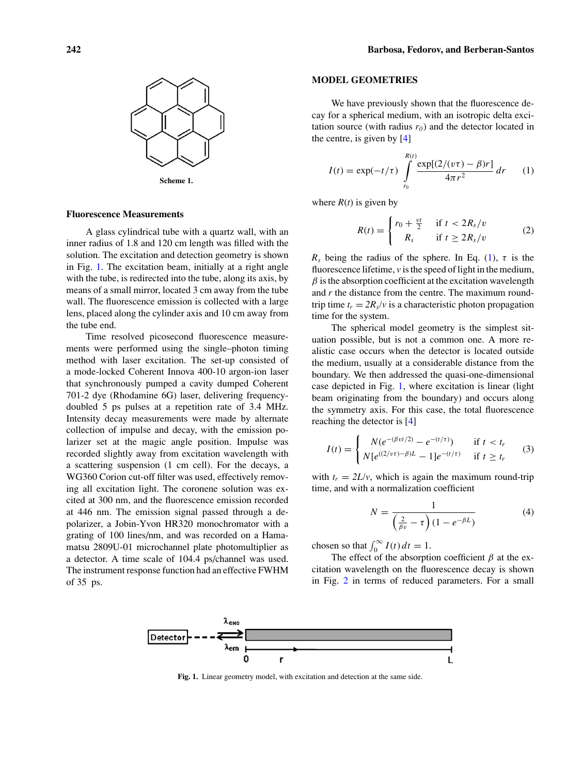<span id="page-1-0"></span>

## **Fluorescence Measurements**

A glass cylindrical tube with a quartz wall, with an inner radius of 1.8 and 120 cm length was filled with the solution. The excitation and detection geometry is shown in Fig. [1.](#page-1-1) The excitation beam, initially at a right angle with the tube, is redirected into the tube, along its axis, by means of a small mirror, located 3 cm away from the tube wall. The fluorescence emission is collected with a large lens, placed along the cylinder axis and 10 cm away from the tube end.

Time resolved picosecond fluorescence measurements were performed using the single–photon timing method with laser excitation. The set-up consisted of a mode-locked Coherent Innova 400-10 argon-ion laser that synchronously pumped a cavity dumped Coherent 701-2 dye (Rhodamine 6G) laser, delivering frequencydoubled 5 ps pulses at a repetition rate of 3.4 MHz. Intensity decay measurements were made by alternate collection of impulse and decay, with the emission polarizer set at the magic angle position. Impulse was recorded slightly away from excitation wavelength with a scattering suspension (1 cm cell). For the decays, a WG360 Corion cut-off filter was used, effectively removing all excitation light. The coronene solution was excited at 300 nm, and the fluorescence emission recorded at 446 nm. The emission signal passed through a depolarizer, a Jobin-Yvon HR320 monochromator with a grating of 100 lines/nm, and was recorded on a Hamamatsu 2809U-01 microchannel plate photomultiplier as a detector. A time scale of 104.4 ps/channel was used. The instrument response function had an effective FWHM of 35 ps.

## **MODEL GEOMETRIES**

We have previously shown that the fluorescence decay for a spherical medium, with an isotropic delta excitation source (with radius  $r_0$ ) and the detector located in the centre, is given by [\[4\]](#page-3-3)

$$
I(t) = \exp(-t/\tau) \int_{r_0}^{R(t)} \frac{\exp[(2/(v\tau) - \beta)r]}{4\pi r^2} dr \qquad (1)
$$

<span id="page-1-2"></span>where  $R(t)$  is given by

$$
R(t) = \begin{cases} r_0 + \frac{vt}{2} & \text{if } t < 2R_s/v \\ R_s & \text{if } t \ge 2R_s/v \end{cases} \tag{2}
$$

*R<sub>s</sub>* being the radius of the sphere. In Eq. [\(1\)](#page-1-2),  $\tau$  is the fluorescence lifetime, *v* is the speed of light in the medium,  $\beta$  is the absorption coefficient at the excitation wavelength and *r* the distance from the centre. The maximum roundtrip time  $t_r = 2R_s/v$  is a characteristic photon propagation time for the system.

The spherical model geometry is the simplest situation possible, but is not a common one. A more realistic case occurs when the detector is located outside the medium, usually at a considerable distance from the boundary. We then addressed the quasi-one-dimensional case depicted in Fig. [1,](#page-1-1) where excitation is linear (light beam originating from the boundary) and occurs along the symmetry axis. For this case, the total fluorescence reaching the detector is [\[4\]](#page-3-3)

$$
I(t) = \begin{cases} N(e^{-(\beta vt/2)} - e^{-(t/\tau)}) & \text{if } t < t_r \\ N[e^{((2/v\tau) - \beta)L} - 1]e^{-(t/\tau)} & \text{if } t \ge t_r \end{cases}
$$
(3)

<span id="page-1-3"></span>with  $t_r = 2L/v$ , which is again the maximum round-trip time, and with a normalization coefficient

$$
N = \frac{1}{\left(\frac{2}{\beta v} - \tau\right)(1 - e^{-\beta L})}
$$
(4)

chosen so that  $\int_0^\infty I(t) dt = 1$ .

The effect of the absorption coefficient  $\beta$  at the excitation wavelength on the fluorescence decay is shown in Fig. [2](#page-2-0) in terms of reduced parameters. For a small

<span id="page-1-1"></span>

**Fig. 1.** Linear geometry model, with excitation and detection at the same side.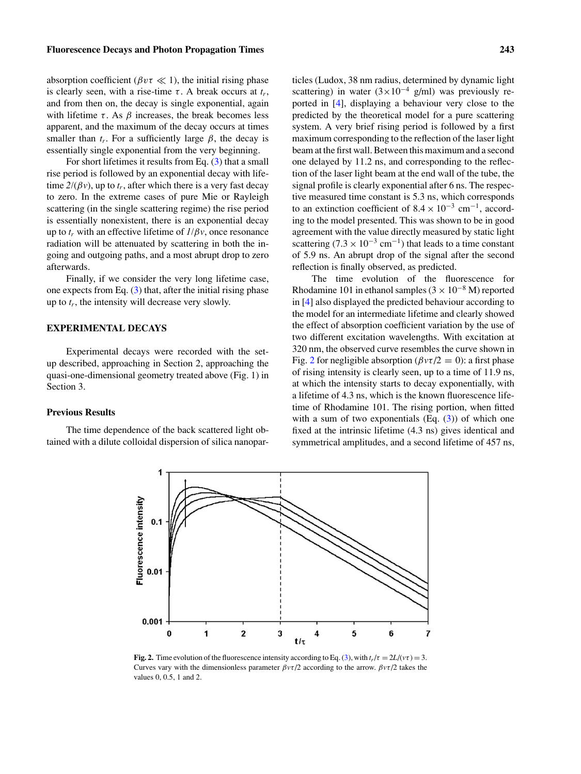absorption coefficient ( $\beta v \tau \ll 1$ ), the initial rising phase is clearly seen, with a rise-time  $\tau$ . A break occurs at  $t_r$ , and from then on, the decay is single exponential, again with lifetime  $\tau$ . As  $\beta$  increases, the break becomes less apparent, and the maximum of the decay occurs at times smaller than  $t_r$ . For a sufficiently large  $\beta$ , the decay is essentially single exponential from the very beginning.

For short lifetimes it results from Eq.  $(3)$  that a small rise period is followed by an exponential decay with lifetime  $2/(\beta v)$ , up to  $t_r$ , after which there is a very fast decay to zero. In the extreme cases of pure Mie or Rayleigh scattering (in the single scattering regime) the rise period is essentially nonexistent, there is an exponential decay up to  $t_r$  with an effective lifetime of  $I/\beta v$ , once resonance radiation will be attenuated by scattering in both the ingoing and outgoing paths, and a most abrupt drop to zero afterwards.

Finally, if we consider the very long lifetime case, one expects from Eq.  $(3)$  that, after the initial rising phase up to  $t_r$ , the intensity will decrease very slowly.

# **EXPERIMENTAL DECAYS**

Experimental decays were recorded with the setup described, approaching in Section 2, approaching the quasi-one-dimensional geometry treated above (Fig. 1) in Section 3.

## **Previous Results**

<span id="page-2-0"></span>The time dependence of the back scattered light obtained with a dilute colloidal dispersion of silica nanopar-

1

ticles (Ludox, 38 nm radius, determined by dynamic light scattering) in water  $(3 \times 10^{-4} \text{ g/ml})$  was previously reported in [\[4\]](#page-3-3), displaying a behaviour very close to the predicted by the theoretical model for a pure scattering system. A very brief rising period is followed by a first maximum corresponding to the reflection of the laser light beam at the first wall. Between this maximum and a second one delayed by 11.2 ns, and corresponding to the reflection of the laser light beam at the end wall of the tube, the signal profile is clearly exponential after 6 ns. The respective measured time constant is 5.3 ns, which corresponds to an extinction coefficient of  $8.4 \times 10^{-3}$  cm<sup>-1</sup>, according to the model presented. This was shown to be in good agreement with the value directly measured by static light scattering (7.3 × 10<sup>-3</sup> cm<sup>-1</sup>) that leads to a time constant of 5.9 ns. An abrupt drop of the signal after the second reflection is finally observed, as predicted.

The time evolution of the fluorescence for Rhodamine 101 in ethanol samples ( $3 \times 10^{-8}$  M) reported in [\[4\]](#page-3-3) also displayed the predicted behaviour according to the model for an intermediate lifetime and clearly showed the effect of absorption coefficient variation by the use of two different excitation wavelengths. With excitation at 320 nm, the observed curve resembles the curve shown in Fig. [2](#page-2-0) for negligible absorption ( $\beta v\tau/2 = 0$ ): a first phase of rising intensity is clearly seen, up to a time of 11.9 ns, at which the intensity starts to decay exponentially, with a lifetime of 4.3 ns, which is the known fluorescence lifetime of Rhodamine 101. The rising portion, when fitted with a sum of two exponentials  $(Eq. (3))$  $(Eq. (3))$  $(Eq. (3))$  of which one fixed at the intrinsic lifetime (4.3 ns) gives identical and symmetrical amplitudes, and a second lifetime of 457 ns,



**Fig. 2.** Time evolution of the fluorescence intensity according to Eq. [\(3\)](#page-1-3), with  $t_r/\tau = 2L/(\nu\tau) = 3$ . Curves vary with the dimensionless parameter  $\beta v\tau/2$  according to the arrow.  $\beta v\tau/2$  takes the values 0, 0.5, 1 and 2.